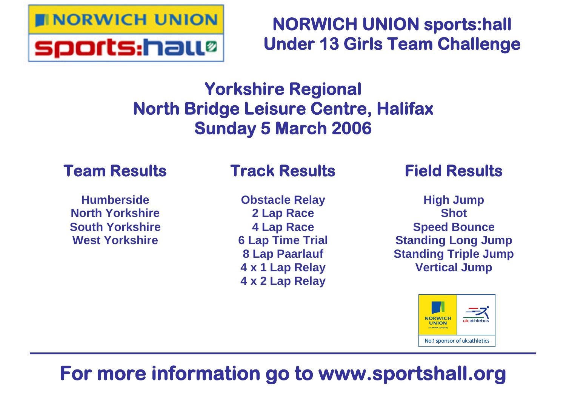

# **NORWICH UNION sports:hall Under 13 Girls Team Challenge**

# **Yorkshire Regional North Bridge Leisure Centre, Halifax Sunday 5 March 2006**

## **Team Results**

**Humberside North Yorkshire South Yorkshire West Yorkshire**

# **Track Results**

**Obstacle Relay 2 Lap Race 4 Lap Race 6 Lap Time Trial 8 Lap Paarlauf 4 x 1 Lap Relay 4 x 2 Lap Relay**

## **Field Results**

**High Jump Shot Speed Bounce Standing Long Jump Standing Triple Jump Vertical Jump**



# **For more information go to www.sportshall.org**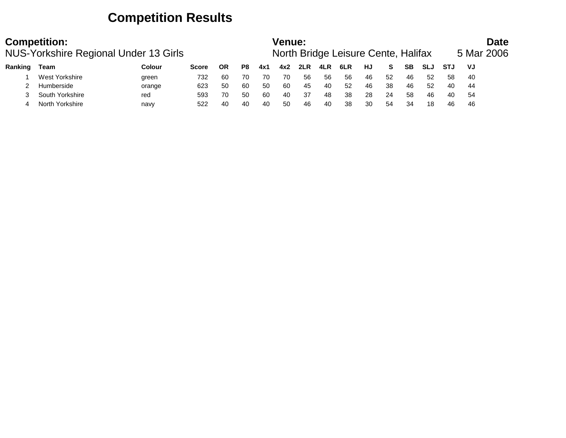## **Competition Results**

|         | <b>Competition:</b> | NUS-Yorkshire Regional Under 13 Girls |              |           |    |     | Venue: |     |     | North Bridge Leisure Cente, Halifax |    |    |           |            |            | <b>Date</b><br>5 Mar 2006 |
|---------|---------------------|---------------------------------------|--------------|-----------|----|-----|--------|-----|-----|-------------------------------------|----|----|-----------|------------|------------|---------------------------|
| Ranking | Team                | Colour                                | <b>Score</b> | <b>OR</b> | P8 | 4x1 | 4x2    | 2LR | 4LR | 6LR                                 | HJ | S. | <b>SB</b> | <b>SLJ</b> | <b>STJ</b> | VJ                        |
|         | West Yorkshire      | green                                 | 732          | 60        | 70 | 70  | 70     | 56  | 56  | 56                                  | 46 | 52 | 46        | 52         | 58         | -40                       |
|         | Humberside          | orange                                | 623          | 50        | 60 | 50  | 60     | 45  | 40  | 52                                  | 46 | 38 | 46        | 52         | 40         | 44                        |
|         | South Yorkshire     | red                                   | 593          | 70        | 50 | 60  | 40     | 37  | 48  | 38                                  | 28 | 24 | 58        | 46         | 40         | 54                        |
|         | North Yorkshire     | navy                                  | 522          | 40        | 40 | 40  | 50     | 46  | 40  | 38                                  | 30 | 54 | 34        | 18         | 46         | 46                        |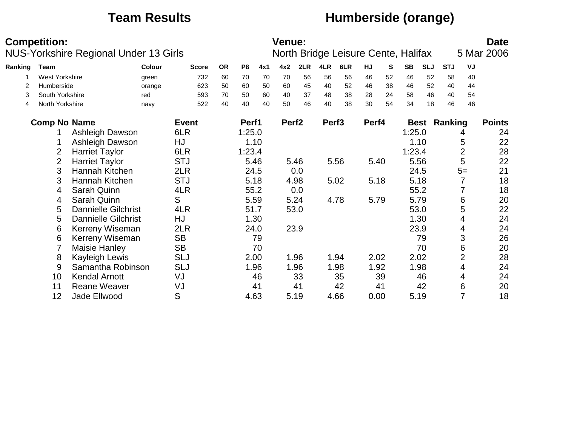## **Team Results Humberside (orange)**

|         | <b>Competition:</b> |                            | NUS-Yorkshire Regional Under 13 Girls |              |           |                |     | <b>Venue:</b>     |      |                   | North Bridge Leisure Cente, Halifax |       |    |             |            |            |                | <b>Date</b><br>5 Mar 2006 |
|---------|---------------------|----------------------------|---------------------------------------|--------------|-----------|----------------|-----|-------------------|------|-------------------|-------------------------------------|-------|----|-------------|------------|------------|----------------|---------------------------|
| Ranking | <b>Team</b>         |                            | Colour                                | <b>Score</b> | <b>OR</b> | P <sub>8</sub> | 4x1 | 4x2               | 2LR  | 4LR               | 6LR                                 | HJ    | S  | <b>SB</b>   | <b>SLJ</b> | <b>STJ</b> | VJ             |                           |
|         | West Yorkshire      |                            | green                                 | 732          | 60        | 70             | 70  | 70                | 56   | 56                | 56                                  | 46    | 52 | 46          | 52         | 58         | 40             |                           |
| 2       | Humberside          |                            | orange                                | 623          | 50        | 60             | 50  | 60                | 45   | 40                | 52                                  | 46    | 38 | 46          | 52         | 40         | 44             |                           |
| 3       | South Yorkshire     |                            | red                                   | 593          | 70        | 50             | 60  | 40                | 37   | 48                | 38                                  | 28    | 24 | 58          | 46         | 40         | 54             |                           |
| 4       | North Yorkshire     |                            | navy                                  | 522          | 40        | 40             | 40  | 50                | 46   | 40                | 38                                  | 30    | 54 | 34          | 18         | 46         | 46             |                           |
|         | <b>Comp No Name</b> |                            |                                       | <b>Event</b> |           | Perf1          |     | Perf <sub>2</sub> |      | Perf <sub>3</sub> |                                     | Perf4 |    | <b>Best</b> |            | Ranking    |                | <b>Points</b>             |
|         |                     | Ashleigh Dawson            |                                       | 6LR          |           | 1:25.0         |     |                   |      |                   |                                     |       |    | 1:25.0      |            |            | 4              | 24                        |
|         |                     | Ashleigh Dawson            |                                       | HJ           |           | 1.10           |     |                   |      |                   |                                     |       |    |             | 1.10       |            | 5              | 22                        |
|         | 2                   | <b>Harriet Taylor</b>      |                                       | 6LR          |           | 1:23.4         |     |                   |      |                   |                                     |       |    | 1:23.4      |            |            | $\overline{2}$ | 28                        |
|         | $\overline{2}$      | <b>Harriet Taylor</b>      |                                       | <b>STJ</b>   |           | 5.46           |     |                   | 5.46 |                   | 5.56                                | 5.40  |    |             | 5.56       |            | 5              | 22                        |
|         | 3                   | Hannah Kitchen             |                                       | 2LR          |           | 24.5           |     |                   | 0.0  |                   |                                     |       |    | 24.5        |            |            | $5=$           | 21                        |
|         | 3                   | Hannah Kitchen             |                                       | <b>STJ</b>   |           | 5.18           |     |                   | 4.98 |                   | 5.02                                | 5.18  |    |             | 5.18       |            | 7              | 18                        |
|         | 4                   | Sarah Quinn                |                                       | 4LR          |           | 55.2           |     |                   | 0.0  |                   |                                     |       |    |             | 55.2       |            |                | 18                        |
|         | 4                   | Sarah Quinn                |                                       | S            |           | 5.59           |     |                   | 5.24 |                   | 4.78                                | 5.79  |    | 5.79        |            |            | 6              | 20                        |
|         | 5                   | <b>Dannielle Gilchrist</b> |                                       | 4LR          |           | 51.7           |     |                   | 53.0 |                   |                                     |       |    |             | 53.0       |            | 5              | 22                        |
|         | 5                   | <b>Dannielle Gilchrist</b> |                                       | HJ           |           | 1.30           |     |                   |      |                   |                                     |       |    |             | 1.30       |            | 4              | 24                        |
|         | 6                   | Kerreny Wiseman            |                                       | 2LR          |           | 24.0           |     |                   | 23.9 |                   |                                     |       |    |             | 23.9       |            | 4              | 24                        |
|         | 6                   | Kerreny Wiseman            |                                       | <b>SB</b>    |           |                | 79  |                   |      |                   |                                     |       |    |             | 79         |            | 3              | 26                        |
|         | 7                   | Maisie Hanley              |                                       | <b>SB</b>    |           |                | 70  |                   |      |                   |                                     |       |    |             | 70         |            | 6              | 20                        |
|         | 8                   | Kayleigh Lewis             |                                       | <b>SLJ</b>   |           | 2.00           |     |                   | 1.96 |                   | 1.94                                | 2.02  |    |             | 2.02       |            | $\overline{2}$ | 28                        |
|         | 9                   | Samantha Robinson          |                                       | <b>SLJ</b>   |           | 1.96           |     |                   | 1.96 |                   | 1.98                                | 1.92  |    |             | 1.98       |            | 4              | 24                        |
|         | 10                  | <b>Kendal Arnott</b>       |                                       | VJ           |           |                | 46  |                   | 33   |                   | 35                                  |       | 39 |             | 46         |            | 4              | 24                        |
|         | 11                  | <b>Reane Weaver</b>        |                                       | VJ           |           |                | 41  |                   | 41   |                   | 42                                  |       | 41 |             | 42         |            | 6              | 20                        |
|         | 12                  | Jade Ellwood               |                                       | S            |           | 4.63           |     |                   | 5.19 |                   | 4.66                                | 0.00  |    | 5.19        |            |            | 7              | 18                        |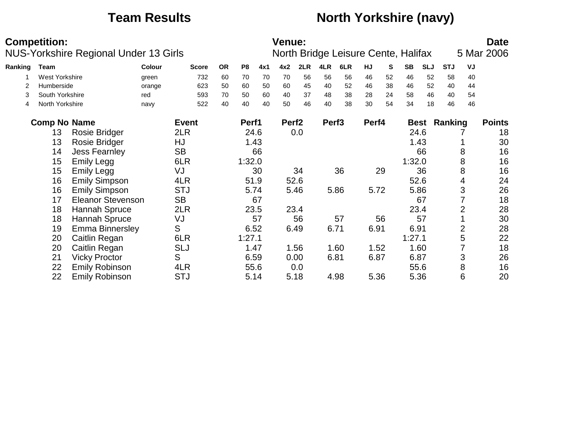## **Team Results North Yorkshire (navy)**

|         | <b>Competition:</b> | <b>NUS-Yorkshire Regional Under 13 Girls</b> |        |              |           |                |      | <b>Venue:</b>     |      |                   | North Bridge Leisure Cente, Halifax |       |    |           |            |            |    | <b>Date</b><br>5 Mar 2006 |
|---------|---------------------|----------------------------------------------|--------|--------------|-----------|----------------|------|-------------------|------|-------------------|-------------------------------------|-------|----|-----------|------------|------------|----|---------------------------|
|         |                     |                                              |        |              |           |                |      |                   |      |                   |                                     |       |    |           |            |            |    |                           |
| Ranking | <b>Team</b>         |                                              | Colour | <b>Score</b> | <b>OR</b> | P <sub>8</sub> | 4x1  | 4x2               | 2LR  | 4LR               | 6LR                                 | HJ    | S  | <b>SB</b> | <b>SLJ</b> | <b>STJ</b> | VJ |                           |
|         | West Yorkshire      |                                              | green  | 732          | 60        | 70             | 70   | 70                | 56   | 56                | 56                                  | 46    | 52 | 46        | 52         | 58         | 40 |                           |
| 2       | Humberside          |                                              | orange | 623          | 50        | 60             | 50   | 60                | 45   | 40                | 52                                  | 46    | 38 | 46        | 52         | 40         | 44 |                           |
| 3       | South Yorkshire     |                                              | red    | 593          | 70        | 50             | 60   | 40                | 37   | 48                | 38                                  | 28    | 24 | 58        | 46         | 40         | 54 |                           |
| 4       | North Yorkshire     |                                              | navy   | 522          | 40        | 40             | 40   | 50                | 46   | 40                | 38                                  | 30    | 54 | 34        | 18         | 46         | 46 |                           |
|         | <b>Comp No Name</b> |                                              |        | <b>Event</b> |           | Perf1          |      | Perf <sub>2</sub> |      | Perf <sub>3</sub> |                                     | Perf4 |    |           | Best       | Ranking    |    | <b>Points</b>             |
|         | 13                  | <b>Rosie Bridger</b>                         |        | 2LR          |           |                | 24.6 |                   | 0.0  |                   |                                     |       |    | 24.6      |            |            |    | 18                        |
|         | 13                  | Rosie Bridger                                |        | HJ           |           |                | 1.43 |                   |      |                   |                                     |       |    | 1.43      |            |            |    | 30                        |
|         | 14                  | <b>Jess Fearnley</b>                         |        | <b>SB</b>    |           |                | 66   |                   |      |                   |                                     |       |    |           | 66         |            | 8  | 16                        |
|         | 15                  | <b>Emily Legg</b>                            |        | 6LR          |           | 1:32.0         |      |                   |      |                   |                                     |       |    | 1:32.0    |            |            | 8  | 16                        |
|         | 15                  | <b>Emily Legg</b>                            |        | VJ           |           |                | 30   |                   | 34   |                   | 36                                  |       | 29 |           | 36         |            | 8  | 16                        |
|         | 16                  | <b>Emily Simpson</b>                         |        | 4LR          |           | 51.9           |      |                   | 52.6 |                   |                                     |       |    | 52.6      |            |            | 4  | 24                        |
|         | 16                  | <b>Emily Simpson</b>                         |        | <b>STJ</b>   |           |                | 5.74 |                   | 5.46 |                   | 5.86                                | 5.72  |    | 5.86      |            |            | 3  | 26                        |
|         | 17                  | <b>Eleanor Stevenson</b>                     |        | <b>SB</b>    |           |                | 67   |                   |      |                   |                                     |       |    |           | 67         |            |    | 18                        |
|         | 18                  | Hannah Spruce                                |        | 2LR          |           |                | 23.5 |                   | 23.4 |                   |                                     |       |    | 23.4      |            |            | 2  | 28                        |
|         | 18                  | Hannah Spruce                                |        | VJ           |           |                | 57   |                   | 56   |                   | 57                                  |       | 56 |           | 57         |            |    | 30                        |
|         | 19                  | <b>Emma Binnersley</b>                       |        | S            |           | 6.52           |      |                   | 6.49 |                   | 6.71                                | 6.91  |    | 6.91      |            |            | 2  | 28                        |
|         | 20                  | Caitlin Regan                                |        | 6LR          |           | 1:27.1         |      |                   |      |                   |                                     |       |    | 1:27.1    |            |            | 5  | 22                        |
|         | 20                  | Caitlin Regan                                |        | <b>SLJ</b>   |           | 1.47           |      |                   | 1.56 |                   | 1.60                                | 1.52  |    | 1.60      |            |            |    | 18                        |
|         | 21                  | <b>Vicky Proctor</b>                         |        | S            |           | 6.59           |      |                   | 0.00 |                   | 6.81                                | 6.87  |    | 6.87      |            |            | 3  | 26                        |
|         | 22                  | <b>Emily Robinson</b>                        |        | 4LR          |           |                | 55.6 |                   | 0.0  |                   |                                     |       |    | 55.6      |            |            | 8  | 16                        |
|         | 22                  | <b>Emily Robinson</b>                        |        | <b>STJ</b>   |           |                | 5.14 |                   | 5.18 |                   | 4.98                                | 5.36  |    | 5.36      |            |            | 6  | 20                        |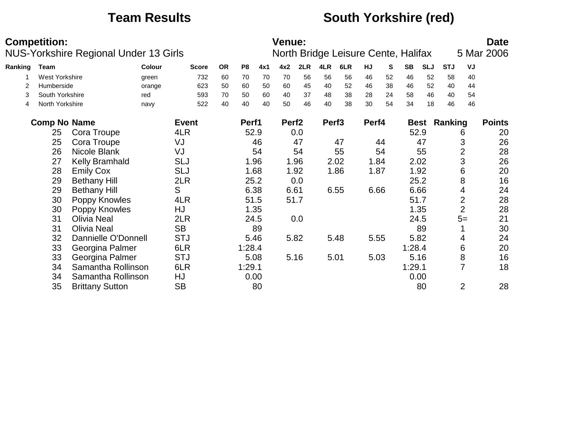## **Team Results South Yorkshire (red)**

|         | <b>Competition:</b>   | NUS-Yorkshire Regional Under 13 Girls |        |              |           |                |      | <b>Venue:</b>     |      |                   | North Bridge Leisure Cente, Halifax |       |    |           |            |                     |                | <b>Date</b><br>5 Mar 2006 |
|---------|-----------------------|---------------------------------------|--------|--------------|-----------|----------------|------|-------------------|------|-------------------|-------------------------------------|-------|----|-----------|------------|---------------------|----------------|---------------------------|
| Ranking | Team                  |                                       | Colour | <b>Score</b> | <b>OR</b> | P <sub>8</sub> | 4x1  | 4x2               | 2LR  | 4LR               | 6LR                                 | HJ    | S  | <b>SB</b> | <b>SLJ</b> | <b>STJ</b>          | VJ             |                           |
|         | <b>West Yorkshire</b> |                                       | green  | 732          | 60        | 70             | 70   | 70                | 56   | 56                | 56                                  | 46    | 52 | 46        | 52         | 58                  | 40             |                           |
| 2       | Humberside            |                                       | orange | 623          | 50        | 60             | 50   | 60                | 45   | 40                | 52                                  | 46    | 38 | 46        | 52         | 40                  | 44             |                           |
| 3       | South Yorkshire       |                                       | red    | 593          | 70        | 50             | 60   | 40                | 37   | 48                | 38                                  | 28    | 24 | 58        | 46         | 40                  | 54             |                           |
| 4       | North Yorkshire       |                                       | navy   | 522          | 40        | 40             | 40   | 50                | 46   | 40                | 38                                  | 30    | 54 | 34        | 18         | 46                  | 46             |                           |
|         | <b>Comp No Name</b>   |                                       |        | <b>Event</b> |           | Perf1          |      | Perf <sub>2</sub> |      | Perf <sub>3</sub> |                                     | Perf4 |    |           |            | <b>Best Ranking</b> |                | <b>Points</b>             |
|         | 25                    | Cora Troupe                           |        | 4LR          |           |                | 52.9 |                   | 0.0  |                   |                                     |       |    |           | 52.9       |                     | 6              | 20                        |
|         | 25                    | Cora Troupe                           |        | VJ           |           |                | 46   |                   | 47   |                   | 47                                  |       | 44 |           | 47         |                     | 3              | 26                        |
|         | 26                    | Nicole Blank                          |        | VJ           |           |                | 54   |                   | 54   |                   | 55                                  |       | 54 |           | 55         |                     | $\overline{2}$ | 28                        |
|         | 27                    | <b>Kelly Bramhald</b>                 |        | <b>SLJ</b>   |           |                | 1.96 |                   | 1.96 |                   | 2.02                                | 1.84  |    |           | 2.02       |                     | 3              | 26                        |
|         | 28                    | <b>Emily Cox</b>                      |        | <b>SLJ</b>   |           |                | 1.68 |                   | 1.92 |                   | 1.86                                | 1.87  |    |           | 1.92       |                     | 6              | 20                        |
|         | 29                    | <b>Bethany Hill</b>                   |        | 2LR          |           |                | 25.2 |                   | 0.0  |                   |                                     |       |    |           | 25.2       |                     | 8              | 16                        |
|         | 29                    | <b>Bethany Hill</b>                   |        | S            |           |                | 6.38 | 6.61              |      |                   | 6.55                                | 6.66  |    |           | 6.66       |                     | 4              | 24                        |
|         | 30                    | Poppy Knowles                         |        | 4LR          |           |                | 51.5 |                   | 51.7 |                   |                                     |       |    |           | 51.7       |                     | $\overline{2}$ | 28                        |
|         | 30                    | Poppy Knowles                         |        | HJ           |           |                | 1.35 |                   |      |                   |                                     |       |    |           | 1.35       |                     | $\overline{2}$ | 28                        |
|         | 31                    | <b>Olivia Neal</b>                    |        | 2LR          |           |                | 24.5 |                   | 0.0  |                   |                                     |       |    |           | 24.5       |                     | $5=$           | 21                        |
|         | 31                    | <b>Olivia Neal</b>                    |        | <b>SB</b>    |           |                | 89   |                   |      |                   |                                     |       |    |           | 89         |                     |                | 30                        |
|         | 32                    | Dannielle O'Donnell                   |        | <b>STJ</b>   |           |                | 5.46 |                   | 5.82 |                   | 5.48                                | 5.55  |    |           | 5.82       |                     | 4              | 24                        |
|         | 33                    | Georgina Palmer                       |        | 6LR          |           | 1:28.4         |      |                   |      |                   |                                     |       |    | 1:28.4    |            |                     | 6              | 20                        |
|         | 33                    | Georgina Palmer                       |        | <b>STJ</b>   |           |                | 5.08 |                   | 5.16 |                   | 5.01                                | 5.03  |    |           | 5.16       |                     | 8              | 16                        |
|         | 34                    | Samantha Rollinson                    |        | 6LR          |           | 1:29.1         |      |                   |      |                   |                                     |       |    | 1:29.1    |            |                     | $\overline{7}$ | 18                        |
|         | 34                    | Samantha Rollinson                    |        | HJ           |           |                | 0.00 |                   |      |                   |                                     |       |    |           | 0.00       |                     |                |                           |
|         | 35                    | <b>Brittany Sutton</b>                |        | <b>SB</b>    |           |                | 80   |                   |      |                   |                                     |       |    |           | 80         |                     | $\overline{2}$ | 28                        |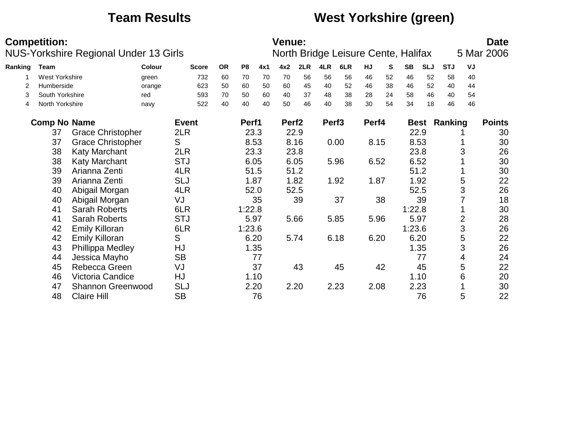## **Team Results West Yorkshire (green)**

|         | <b>Competition:</b>   | NUS-Yorkshire Regional Under 13 Girls |               |              |           |                |     | <b>Venue:</b>     |      |                   | North Bridge Leisure Cente, Halifax |       |    |           |            |            |    | <b>Date</b><br>5 Mar 2006 |
|---------|-----------------------|---------------------------------------|---------------|--------------|-----------|----------------|-----|-------------------|------|-------------------|-------------------------------------|-------|----|-----------|------------|------------|----|---------------------------|
| Ranking | Team                  |                                       | <b>Colour</b> | <b>Score</b> | <b>OR</b> | P <sub>8</sub> | 4x1 | 4x2               | 2LR  | 4LR               | 6LR                                 | HJ    | S  | <b>SB</b> | <b>SLJ</b> | <b>STJ</b> | VJ |                           |
|         | <b>West Yorkshire</b> |                                       | green         | 732          | 60        | 70             | 70  | 70                | 56   | 56                | 56                                  | 46    | 52 | 46        | 52         | 58         | 40 |                           |
| 2       | Humberside            |                                       | orange        | 623          | 50        | 60             | 50  | 60                | 45   | 40                | 52                                  | 46    | 38 | 46        | 52         | 40         | 44 |                           |
| 3       | South Yorkshire       |                                       | red           | 593          | 70        | 50             | 60  | 40                | 37   | 48                | 38                                  | 28    | 24 | 58        | 46         | 40         | 54 |                           |
| 4       | North Yorkshire       |                                       | navy          | 522          | 40        | 40             | 40  | 50                | 46   | 40                | 38                                  | 30    | 54 | 34        | 18         | 46         | 46 |                           |
|         | <b>Comp No Name</b>   |                                       |               | <b>Event</b> |           | Perf1          |     | Perf <sub>2</sub> |      | Perf <sub>3</sub> |                                     | Perf4 |    |           | Best       | Ranking    |    | <b>Points</b>             |
|         | 37                    | <b>Grace Christopher</b>              |               | 2LR          |           | 23.3           |     |                   | 22.9 |                   |                                     |       |    |           | 22.9       |            |    | 30                        |
|         | 37                    | <b>Grace Christopher</b>              |               | S            |           | 8.53           |     |                   | 8.16 |                   | 0.00                                | 8.15  |    |           | 8.53       |            |    | 30                        |
|         | 38                    | <b>Katy Marchant</b>                  |               | 2LR          |           | 23.3           |     |                   | 23.8 |                   |                                     |       |    |           | 23.8       |            | 3  | 26                        |
|         | 38                    | Katy Marchant                         |               | <b>STJ</b>   |           | 6.05           |     |                   | 6.05 |                   | 5.96                                | 6.52  |    | 6.52      |            |            |    | 30                        |
|         | 39                    | Arianna Zenti                         |               | 4LR          |           | 51.5           |     |                   | 51.2 |                   |                                     |       |    | 51.2      |            |            |    | 30                        |
|         | 39                    | Arianna Zenti                         |               | <b>SLJ</b>   |           | 1.87           |     |                   | 1.82 |                   | 1.92                                | 1.87  |    |           | 1.92       |            | 5  | 22                        |
|         | 40                    | Abigail Morgan                        |               | 4LR          |           | 52.0           |     |                   | 52.5 |                   |                                     |       |    |           | 52.5       |            | 3  | 26                        |
|         | 40                    | Abigail Morgan                        |               | VJ           |           |                | 35  |                   | 39   |                   | 37                                  |       | 38 |           | 39         |            |    | 18                        |
|         | 41                    | <b>Sarah Roberts</b>                  |               | 6LR          |           | 1:22.8         |     |                   |      |                   |                                     |       |    | 1:22.8    |            |            |    | 30                        |
|         | 41                    | Sarah Roberts                         |               | <b>STJ</b>   |           | 5.97           |     |                   | 5.66 |                   | 5.85                                | 5.96  |    |           | 5.97       |            | 2  | 28                        |
|         | 42                    | <b>Emily Killoran</b>                 |               | 6LR          |           | 1:23.6         |     |                   |      |                   |                                     |       |    | 1:23.6    |            |            | 3  | 26                        |
|         | 42                    | <b>Emily Killoran</b>                 |               | S            |           | 6.20           |     |                   | 5.74 |                   | 6.18                                | 6.20  |    | 6.20      |            |            | 5  | 22                        |
|         | 43                    | Phillippa Medley                      |               | HJ           |           | 1.35           |     |                   |      |                   |                                     |       |    |           | 1.35       |            | 3  | 26                        |
|         | 44                    | Jessica Mayho                         |               | <b>SB</b>    |           |                | 77  |                   |      |                   |                                     |       |    |           | 77         |            | 4  | 24                        |
|         | 45                    | Rebecca Green                         |               | VJ           |           |                | 37  |                   | 43   |                   | 45                                  |       | 42 |           | 45         |            | 5  | 22                        |
|         | 46                    | Victoria Candice                      |               | HJ           |           | 1.10           |     |                   |      |                   |                                     |       |    |           | 1.10       |            | 6  | 20                        |
|         | 47                    | <b>Shannon Greenwood</b>              |               | <b>SLJ</b>   |           | 2.20           |     |                   | 2.20 |                   | 2.23                                | 2.08  |    |           | 2.23       |            |    | 30                        |
|         | 48                    | <b>Claire Hill</b>                    |               | <b>SB</b>    |           |                | 76  |                   |      |                   |                                     |       |    |           | 76         |            | 5  | 22                        |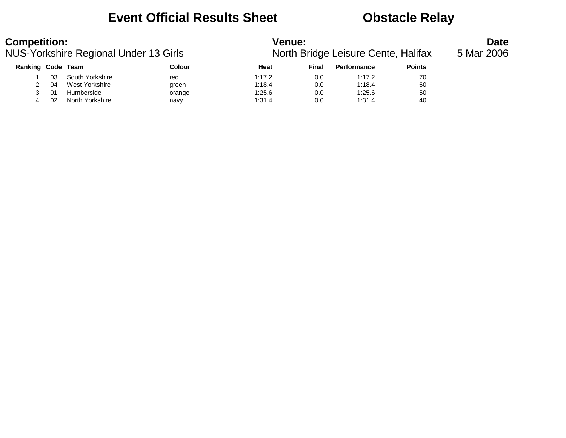### **Event Official Results Sheet <b>CEV** Obstacle Relay

| <b>Competition:</b> |    | NUS-Yorkshire Regional Under 13 Girls |        | <b>Venue:</b> |       | North Bridge Leisure Cente, Halifax |               | <b>Date</b><br>5 Mar 2006 |
|---------------------|----|---------------------------------------|--------|---------------|-------|-------------------------------------|---------------|---------------------------|
| Ranking Code Team   |    |                                       | Colour | Heat          | Final | Performance                         | <b>Points</b> |                           |
|                     | 03 | South Yorkshire                       | red    | 1:17.2        | 0.0   | 1:17.2                              | 70            |                           |
|                     | 04 | West Yorkshire                        | green  | 1:18.4        | 0.0   | 1:18.4                              | 60            |                           |
|                     | 01 | Humberside                            | orange | 1:25.6        | 0.0   | 1:25.6                              | 50            |                           |
|                     | 02 | North Yorkshire                       | navy   | 1:31.4        | 0.0   | 1:31.4                              | 40            |                           |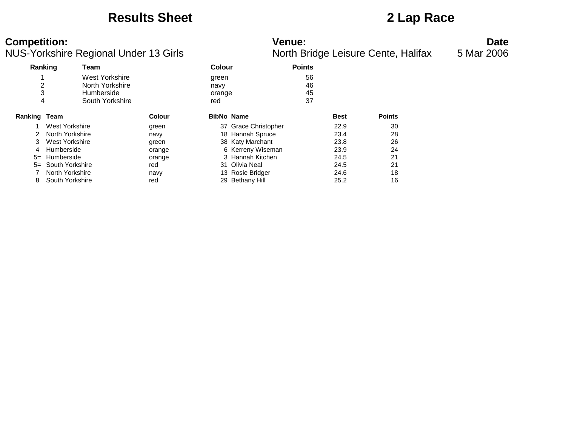### **Results Sheet 2 Lap Race**

### **Competition: Venue: Date**

| NUS-Yorkshire Regional Under 13 Girls |                                    |                                                                    |                 |                                |                                          |                      |              | North Bridge Leisure Cente, Halifax | 5 Mar 2006 |
|---------------------------------------|------------------------------------|--------------------------------------------------------------------|-----------------|--------------------------------|------------------------------------------|----------------------|--------------|-------------------------------------|------------|
|                                       | Ranking                            | Team                                                               |                 | <b>Colour</b>                  |                                          | <b>Points</b>        |              |                                     |            |
| 4                                     |                                    | West Yorkshire<br>North Yorkshire<br>Humberside<br>South Yorkshire |                 | green<br>navy<br>orange<br>red |                                          | 56<br>46<br>45<br>37 |              |                                     |            |
| <b>Ranking Team</b>                   |                                    |                                                                    | <b>Colour</b>   |                                | <b>BibNo Name</b>                        |                      | <b>Best</b>  | <b>Points</b>                       |            |
|                                       | West Yorkshire<br>North Yorkshire  |                                                                    | green<br>navy   |                                | 37 Grace Christopher<br>18 Hannah Spruce |                      | 22.9<br>23.4 | 30<br>28                            |            |
| 3<br>4                                | West Yorkshire<br>Humberside       |                                                                    | green<br>orange |                                | 38 Katy Marchant<br>6 Kerreny Wiseman    |                      | 23.8<br>23.9 | 26<br>24                            |            |
| $5=$<br>$5=$                          | Humberside<br>South Yorkshire      |                                                                    | orange<br>red   |                                | 3 Hannah Kitchen<br>31 Olivia Neal       |                      | 24.5<br>24.5 | 21<br>21                            |            |
| 8                                     | North Yorkshire<br>South Yorkshire |                                                                    | navy<br>red     |                                | 13 Rosie Bridger<br>29 Bethany Hill      |                      | 24.6<br>25.2 | 18<br>16                            |            |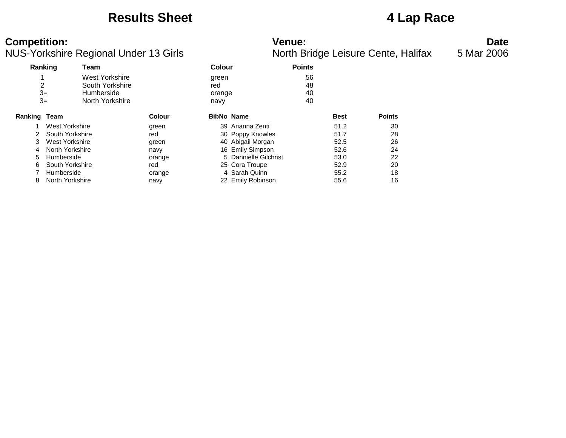### **Results Sheet 4 Lap Race**

### **Competition: Venue: Date**

| venue: |                         |  |
|--------|-------------------------|--|
|        | North Bridge Leisure Ce |  |

|              | Ranking         | Team            |               | <b>Colour</b> |                       | <b>Points</b> |             |               |
|--------------|-----------------|-----------------|---------------|---------------|-----------------------|---------------|-------------|---------------|
|              |                 | West Yorkshire  |               | green         |                       | 56            |             |               |
| 2            |                 | South Yorkshire |               | red           |                       | 48            |             |               |
|              | $3=$            | Humberside      |               | orange        |                       | 40            |             |               |
|              | $3=$            | North Yorkshire |               | navy          |                       | 40            |             |               |
| Ranking Team |                 |                 | <b>Colour</b> |               | <b>BibNo Name</b>     |               | <b>Best</b> | <b>Points</b> |
|              | West Yorkshire  |                 | green         |               | 39 Arianna Zenti      |               | 51.2        | 30            |
|              | South Yorkshire |                 | red           |               | 30 Poppy Knowles      |               | 51.7        | 28            |
| 3            | West Yorkshire  |                 | green         |               | 40 Abigail Morgan     |               | 52.5        | 26            |
| 4            | North Yorkshire |                 | navy          |               | 16 Emily Simpson      |               | 52.6        | 24            |
| 5            | Humberside      |                 | orange        |               | 5 Dannielle Gilchrist |               | 53.0        | 22            |
| 6            | South Yorkshire |                 | red           |               | 25 Cora Troupe        |               | 52.9        | 20            |
|              | Humberside      |                 | orange        |               | 4 Sarah Quinn         |               | 55.2        | 18            |
| 8            | North Yorkshire |                 | navy          |               | 22 Emily Robinson     |               | 55.6        | 16            |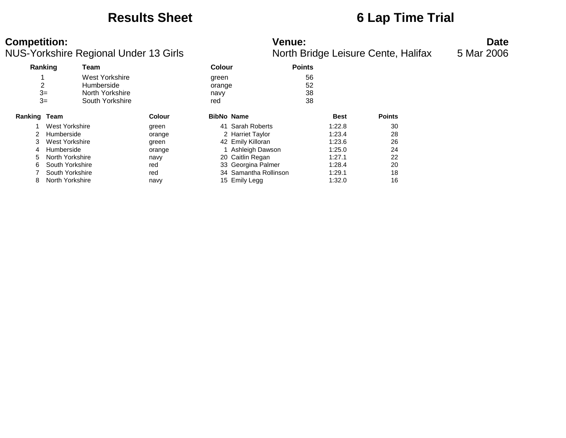### **Results Sheet 6 Lap Time Trial**

| <b>Competition:</b>                      | Venue:                             | Date         |
|------------------------------------------|------------------------------------|--------------|
| NILIS-Vorkebiro Pogional Llndor 13 Cirls | North Bridge Loisure Conto Holifox | $F$ Mor 2006 |

| Ranking             |                 | Team            |        | <b>Colour</b> |                       | <b>Points</b> |             |               |
|---------------------|-----------------|-----------------|--------|---------------|-----------------------|---------------|-------------|---------------|
|                     |                 | West Yorkshire  |        | green         |                       | 56            |             |               |
| 2                   |                 | Humberside      |        | orange        |                       | 52            |             |               |
|                     | $3=$            | North Yorkshire |        | navy          |                       | 38            |             |               |
|                     | $3=$            | South Yorkshire |        | red           |                       | 38            |             |               |
| <b>Ranking Team</b> |                 |                 | Colour |               | <b>BibNo Name</b>     |               | <b>Best</b> | <b>Points</b> |
|                     | West Yorkshire  |                 | green  | 41            | <b>Sarah Roberts</b>  |               | 1:22.8      | 30            |
| 2                   | Humberside      |                 | orange |               | 2 Harriet Taylor      |               | 1:23.4      | 28            |
| 3                   | West Yorkshire  |                 | green  |               | 42 Emily Killoran     |               | 1:23.6      | 26            |
| 4                   | Humberside      |                 | orange |               | 1 Ashleigh Dawson     |               | 1:25.0      | 24            |
| 5                   | North Yorkshire |                 | navy   |               | 20 Caitlin Regan      |               | 1:27.1      | 22            |
| 6                   | South Yorkshire |                 | red    |               | 33 Georgina Palmer    |               | 1:28.4      | 20            |
|                     | South Yorkshire |                 | red    |               | 34 Samantha Rollinson |               | 1:29.1      | 18            |
| 8                   | North Yorkshire |                 | navy   |               | 15 Emily Legg         |               | 1:32.0      | 16            |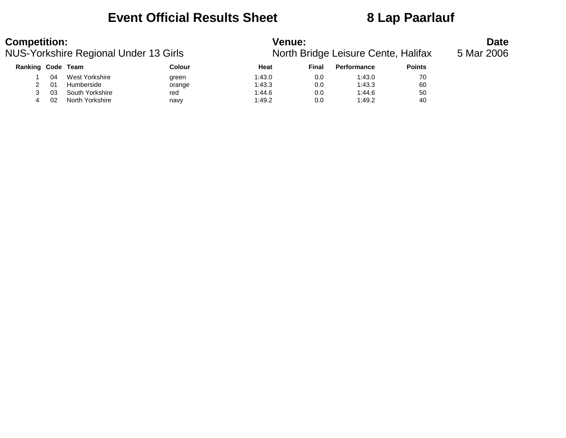### **Event Official Results Sheet 8 Lap Paarlauf**

| <b>Competition:</b> |    | NUS-Yorkshire Regional Under 13 Girls |        | <b>Venue:</b> |       | North Bridge Leisure Cente, Halifax |               | <b>Date</b><br>5 Mar 2006 |
|---------------------|----|---------------------------------------|--------|---------------|-------|-------------------------------------|---------------|---------------------------|
| Ranking Code Team   |    |                                       | Colour | Heat          | Final | <b>Performance</b>                  | <b>Points</b> |                           |
|                     | 04 | West Yorkshire                        | green  | 1:43.0        | 0.0   | 1:43.0                              | 70            |                           |
|                     | 01 | Humberside                            | orange | 1:43.3        | 0.0   | 1:43.3                              | 60            |                           |
|                     | 03 | South Yorkshire                       | red    | 1:44.6        | 0.0   | 1:44.6                              | 50            |                           |
| 4                   | 02 | North Yorkshire                       | navy   | 1:49.2        | 0.0   | 1:49.2                              | 40            |                           |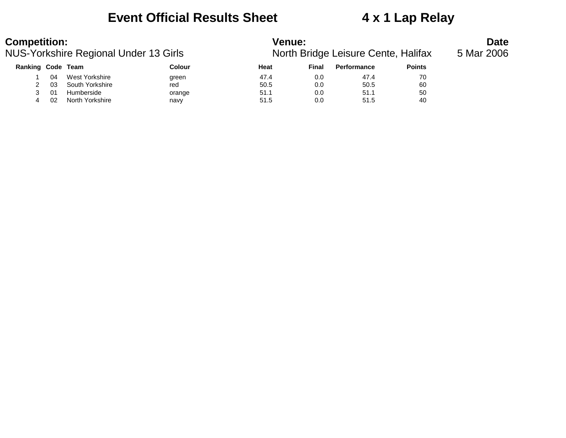### **Event Official Results Sheet 4 x 1 Lap Relay**

### **Competition:**<br>**Date**<br>North Bridge Leisure Cente, Halifax 5 Mar 2006<br>**Date**<br>**Date**<br>North Bridge Leisure Cente, Halifax 5 Mar 2006 NUS-Yorkshire Regional Under 13 Girls

| Ranking Code Team |    |                 | Colour | Heat | Final | <b>Performance</b> | <b>Points</b> |
|-------------------|----|-----------------|--------|------|-------|--------------------|---------------|
|                   | 04 | West Yorkshire  | green  | 47.4 | 0.0   | 47.4               | 70            |
|                   | 03 | South Yorkshire | red    | 50.5 | 0.0   | 50.5               | 60            |
|                   | 01 | Humberside      | orange | 51.1 | 0.0   | 51.1               | 50            |
|                   | 02 | North Yorkshire | navy   | 51.5 | 0.0   | 51.5               | 40            |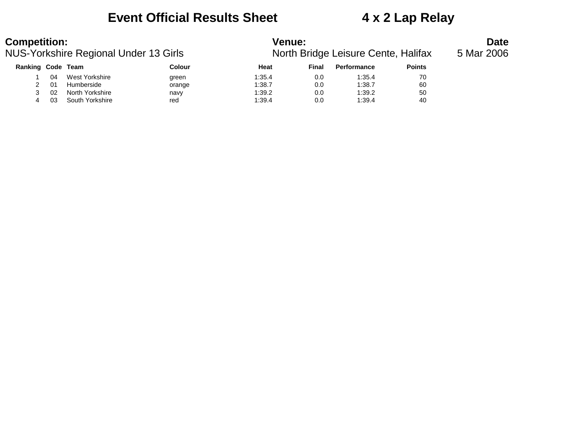### **Event Official Results Sheet 4 x 2 Lap Relay**

# **Competition:**<br>**Date**<br>**North Bridge Leisure Cente, Halifax** 5 Mar 2006<br>**Date**<br>**Date**<br>**Date**<br>**North Bridge Leisure Cente, Halifax** 5 Mar 2006

| JS-Yorkshire Regional Under 13 Girls |     |                 |               | North Bridge Leisure Cente, Halifax |       |                    |               |  |  |  |
|--------------------------------------|-----|-----------------|---------------|-------------------------------------|-------|--------------------|---------------|--|--|--|
| Ranking Code Team                    |     |                 | <b>Colour</b> | Heat                                | Final | <b>Performance</b> | <b>Points</b> |  |  |  |
|                                      | 04  | West Yorkshire  | green         | 1:35.4                              | 0.0   | 1:35.4             | 70            |  |  |  |
|                                      | -01 | Humberside      | orange        | 1:38.7                              | 0.0   | 1:38.7             | 60            |  |  |  |
|                                      | -02 | North Yorkshire | navy          | 1:39.2                              | 0.0   | 1:39.2             | 50            |  |  |  |
|                                      | 03  | South Yorkshire | red           | 1:39.4                              | 0.0   | 1:39.4             | 40            |  |  |  |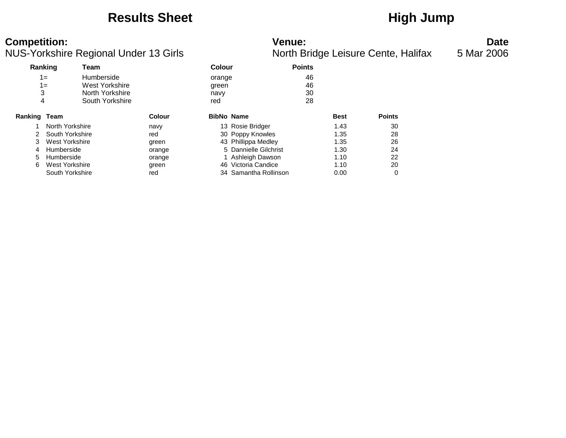### **Results Sheet High Jump**

### NUS-Yorkshire Regional Under 13 Girls

| <b>Competition:</b><br>NUS-Yorkshire Regional Under 13 Girls |                                                                                                                       |                                                          |                                | <b>Venue:</b><br>North Bridge Leisure Cente, Halifax                                                                                                    | <b>Date</b><br>5 Mar 2006                            |                                  |  |
|--------------------------------------------------------------|-----------------------------------------------------------------------------------------------------------------------|----------------------------------------------------------|--------------------------------|---------------------------------------------------------------------------------------------------------------------------------------------------------|------------------------------------------------------|----------------------------------|--|
| Ranking                                                      | Team                                                                                                                  |                                                          | <b>Colour</b>                  | <b>Points</b>                                                                                                                                           |                                                      |                                  |  |
| 3<br>4                                                       | Humberside<br>$1 =$<br>West Yorkshire<br>$1 =$<br>North Yorkshire<br>South Yorkshire                                  |                                                          | orange<br>green<br>navy<br>red | 46<br>46<br>30<br>28                                                                                                                                    |                                                      |                                  |  |
| <b>Ranking Team</b>                                          |                                                                                                                       | <b>Colour</b>                                            | <b>BibNo Name</b>              |                                                                                                                                                         | <b>Best</b>                                          | <b>Points</b>                    |  |
| 2<br>3.<br>4<br>5.<br>6                                      | North Yorkshire<br>South Yorkshire<br>West Yorkshire<br>Humberside<br>Humberside<br>West Yorkshire<br>South Yorkshire | navy<br>red<br>green<br>orange<br>orange<br>green<br>red |                                | 13 Rosie Bridger<br>30 Poppy Knowles<br>43 Phillippa Medley<br>5 Dannielle Gilchrist<br>Ashleigh Dawson<br>46 Victoria Candice<br>34 Samantha Rollinson | 1.43<br>1.35<br>1.35<br>1.30<br>1.10<br>1.10<br>0.00 | 30<br>28<br>26<br>24<br>22<br>20 |  |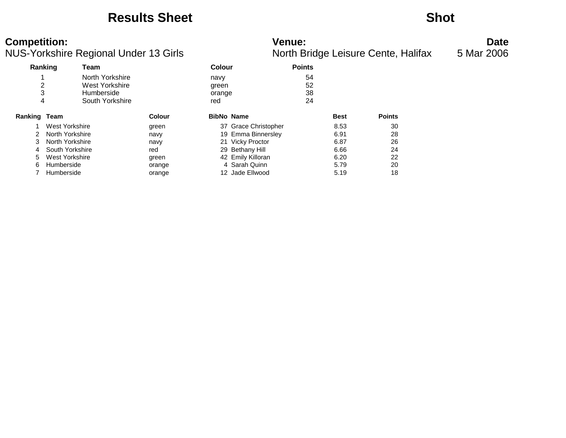### **Results Sheet Shot**

### NUS-Yorkshire Regional Under 13 Girls North Bridge Leisure Cente, Halifax 5 Mar 2006

# **Competition: Venue: Date**

|                | Ranking         | Team            |               | Colour |                      | <b>Points</b> |             |               |
|----------------|-----------------|-----------------|---------------|--------|----------------------|---------------|-------------|---------------|
|                |                 | North Yorkshire |               | navy   |                      | 54            |             |               |
| 2              |                 | West Yorkshire  |               | green  |                      | 52            |             |               |
| 3              |                 | Humberside      |               | orange |                      | 38            |             |               |
| 4              |                 | South Yorkshire |               | red    |                      | 24            |             |               |
| Ranking        | Team            |                 | <b>Colour</b> |        | <b>BibNo Name</b>    |               | <b>Best</b> | <b>Points</b> |
|                | West Yorkshire  |                 | green         |        | 37 Grace Christopher |               | 8.53        | 30            |
|                | North Yorkshire |                 | navy          |        | 19 Emma Binnersley   |               | 6.91        | 28            |
| 3              | North Yorkshire |                 | navy          |        | 21 Vicky Proctor     |               | 6.87        | 26            |
| $\overline{4}$ | South Yorkshire |                 | red           |        | 29 Bethany Hill      |               | 6.66        | 24            |
| 5.             | West Yorkshire  |                 | green         |        | 42 Emily Killoran    |               | 6.20        | 22            |
| 6              | Humberside      |                 | orange        |        | 4 Sarah Quinn        |               | 5.79        | 20            |
|                | Humberside      |                 | orange        |        | 12 Jade Ellwood      |               | 5.19        | 18            |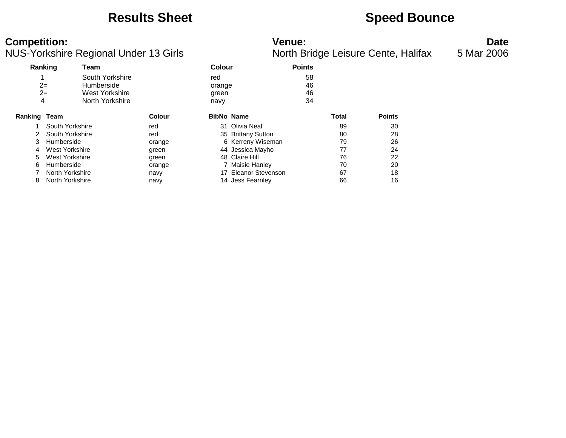### **Results Sheet <b>Speed Bounce Speed Bounce**

| <b>Competition:</b>                   | Venue <sup>.</sup>                  | Date       |  |
|---------------------------------------|-------------------------------------|------------|--|
| NUS-Yorkshire Regional Under 13 Girls | North Bridge Leisure Cente, Halifax | 5 Mar 2006 |  |

|                     |                 | ັ                     |               |        |                    | ັ             |              | $\overline{\phantom{a}}$ |  |
|---------------------|-----------------|-----------------------|---------------|--------|--------------------|---------------|--------------|--------------------------|--|
| Ranking             |                 | Team                  |               | Colour |                    | <b>Points</b> |              |                          |  |
|                     |                 | South Yorkshire       |               | red    |                    | 58            |              |                          |  |
| $2=$                |                 | Humberside            |               | orange |                    | 46            |              |                          |  |
| $2=$                |                 | <b>West Yorkshire</b> |               | green  |                    | 46            |              |                          |  |
| 4                   |                 | North Yorkshire       |               | navy   |                    | 34            |              |                          |  |
| <b>Ranking Team</b> |                 |                       | <b>Colour</b> |        | <b>BibNo Name</b>  |               | <b>Total</b> | <b>Points</b>            |  |
|                     | South Yorkshire |                       | red           |        | 31 Olivia Neal     |               | 89           | 30                       |  |
|                     | South Yorkshire |                       | red           |        | 35 Brittany Sutton |               | 80           | 28                       |  |
| 3                   | Humberside      |                       | orange        |        | 6 Kerreny Wiseman  |               | 79           | 26                       |  |
| 4                   | West Yorkshire  |                       | green         |        | 44 Jessica Mayho   |               | 77           | 24                       |  |
| 5                   | West Yorkshire  |                       | green         |        | 48 Claire Hill     |               | 76           | 22                       |  |
| 6                   | Humberside      |                       | orange        |        | 7 Maisie Hanley    |               | 70           | 20                       |  |
|                     | North Yorkshire |                       | navy          | 17     | Eleanor Stevenson  |               | 67           | 18                       |  |
| 8                   | North Yorkshire |                       | navy          |        | 14 Jess Fearnley   |               | 66           | 16                       |  |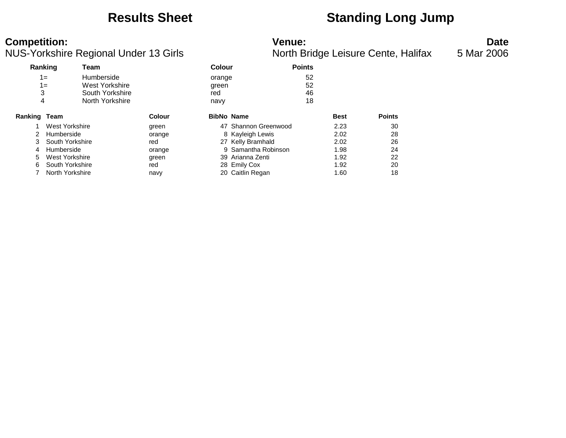## **Results Sheet Standing Long Jump**

**Competition:**<br>**Date**<br>Nunder 13 Girls **Date**<br>North Bridge Leisure Cente, Halifax 5 Mar 2006 NUS-Yorkshire Regional Under 13 Girls

| Ranking |                 | Team            |               | <b>Colour</b>     |                      | <b>Points</b> |             |               |
|---------|-----------------|-----------------|---------------|-------------------|----------------------|---------------|-------------|---------------|
|         | 1=              | Humberside      |               | orange            |                      | 52            |             |               |
|         | $1 =$           | West Yorkshire  |               | green             |                      | 52            |             |               |
| 3       |                 | South Yorkshire |               | red               |                      | 46            |             |               |
| 4       |                 | North Yorkshire |               | navy              |                      | 18            |             |               |
| Ranking | Team            |                 | <b>Colour</b> | <b>BibNo Name</b> |                      |               | <b>Best</b> | <b>Points</b> |
|         | West Yorkshire  |                 | green         |                   | 47 Shannon Greenwood |               | 2.23        | 30            |
| 2       | Humberside      |                 | orange        |                   | 8 Kayleigh Lewis     |               | 2.02        | 28            |
| 3       | South Yorkshire |                 | red           |                   | 27 Kelly Bramhald    |               | 2.02        | 26            |
| 4       | Humberside      |                 | orange        |                   | 9 Samantha Robinson  |               | 1.98        | 24            |
| 5       | West Yorkshire  |                 | green         |                   | 39 Arianna Zenti     |               | 1.92        | 22            |
| 6       | South Yorkshire |                 | red           |                   | 28 Emily Cox         |               | 1.92        | 20            |
|         | North Yorkshire |                 | navy          |                   | 20 Caitlin Regan     |               | 1.60        | 18            |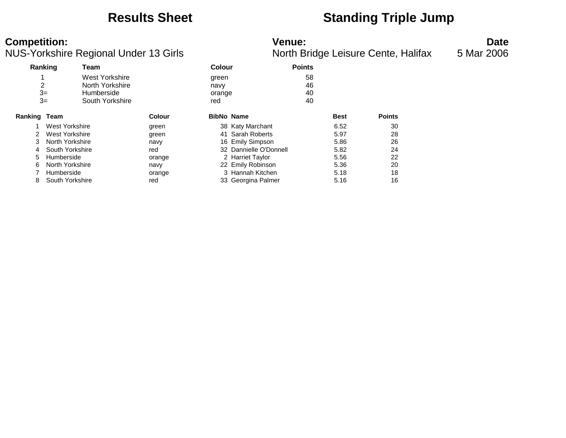### **Results Sheet Standing Triple Jump**

### **Competition: Venue: Date**

|              |                 | ີ               |               |                   |                        | ັ             |             |               |
|--------------|-----------------|-----------------|---------------|-------------------|------------------------|---------------|-------------|---------------|
| Ranking      |                 | Team            |               | <b>Colour</b>     |                        | <b>Points</b> |             |               |
|              |                 | West Yorkshire  |               | green             |                        | 58            |             |               |
| 2            |                 | North Yorkshire |               | navy              |                        | 46            |             |               |
| $3=$         |                 | Humberside      |               | orange            |                        | 40            |             |               |
|              | $3=$            | South Yorkshire |               | red               |                        | 40            |             |               |
| Ranking Team |                 |                 | <b>Colour</b> | <b>BibNo Name</b> |                        |               | <b>Best</b> | <b>Points</b> |
|              | West Yorkshire  |                 | green         |                   | 38 Katy Marchant       |               | 6.52        | 30            |
| 2            | West Yorkshire  |                 | green         | 41                | Sarah Roberts          |               | 5.97        | 28            |
| 3            | North Yorkshire |                 | navy          |                   | 16 Emily Simpson       |               | 5.86        | 26            |
| 4            | South Yorkshire |                 | red           |                   | 32 Dannielle O'Donnell |               | 5.82        | 24            |
| 5            | Humberside      |                 | orange        |                   | 2 Harriet Taylor       |               | 5.56        | 22            |
| 6            | North Yorkshire |                 | navy          |                   | 22 Emily Robinson      |               | 5.36        | 20            |
|              | Humberside      |                 | orange        |                   | 3 Hannah Kitchen       |               | 5.18        | 18            |
| 8            | South Yorkshire |                 | red           |                   | 33 Georgina Palmer     |               | 5.16        | 16            |